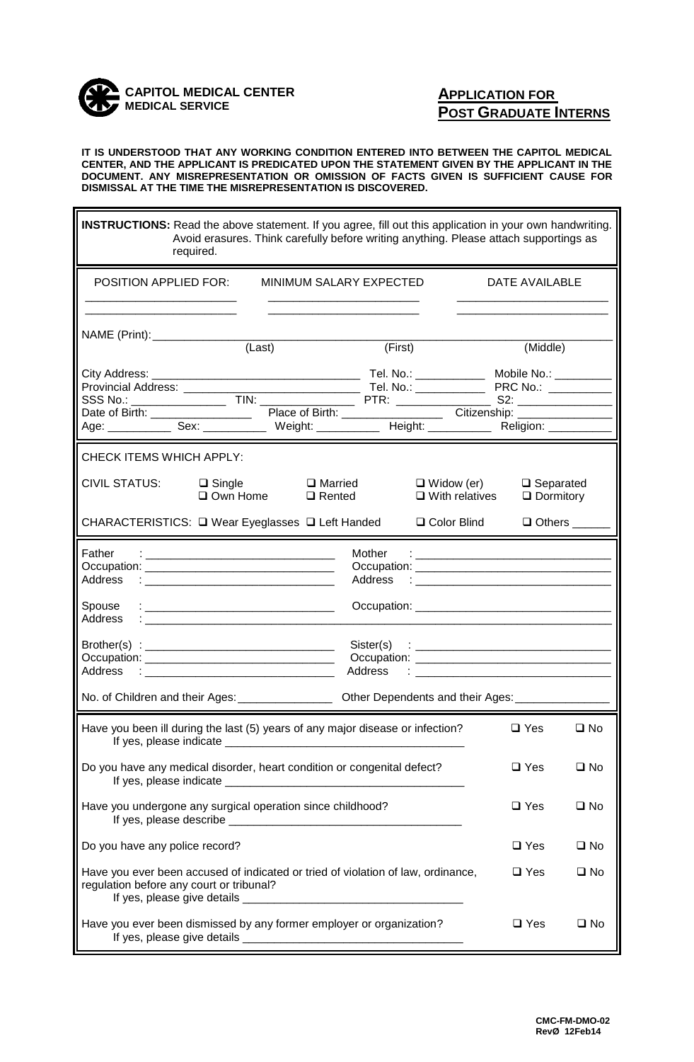

## **APPLICATION FOR POST GRADUATE INTERNS**

 $\blacksquare$ 

**IT IS UNDERSTOOD THAT ANY WORKING CONDITION ENTERED INTO BETWEEN THE CAPITOL MEDICAL CENTER, AND THE APPLICANT IS PREDICATED UPON THE STATEMENT GIVEN BY THE APPLICANT IN THE DOCUMENT. ANY MISREPRESENTATION OR OMISSION OF FACTS GIVEN IS SUFFICIENT CAUSE FOR DISMISSAL AT THE TIME THE MISREPRESENTATION IS DISCOVERED.**

| <b>INSTRUCTIONS:</b> Read the above statement. If you agree, fill out this application in your own handwriting.<br>Avoid erasures. Think carefully before writing anything. Please attach supportings as<br>required.                                                    |                                            |                                      |              |  |  |
|--------------------------------------------------------------------------------------------------------------------------------------------------------------------------------------------------------------------------------------------------------------------------|--------------------------------------------|--------------------------------------|--------------|--|--|
| <b>POSITION APPLIED FOR:</b><br>MINIMUM SALARY EXPECTED                                                                                                                                                                                                                  |                                            | DATE AVAILABLE                       |              |  |  |
| NAME (Print): (Last)                                                                                                                                                                                                                                                     | (First)                                    | (Middle)                             |              |  |  |
| Age: _____________ Sex: ______________ Weight: ____________ Height: ____________ Religion: _________                                                                                                                                                                     |                                            |                                      |              |  |  |
| CHECK ITEMS WHICH APPLY:                                                                                                                                                                                                                                                 |                                            |                                      |              |  |  |
| <b>CIVIL STATUS:</b><br>$\Box$ Married<br>$\Box$ Single<br>$\square$ Own Home<br>$\Box$ Rented                                                                                                                                                                           | $\Box$ Widow (er)<br>$\Box$ With relatives | $\Box$ Separated<br>$\Box$ Dormitory |              |  |  |
| CHARACTERISTICS: □ Wear Eyeglasses □ Left Handed<br>□ Color Blind<br>$\Box$ Others                                                                                                                                                                                       |                                            |                                      |              |  |  |
| Father<br>Mother<br><u> 1989 - Johann Barn, mars eta bainar eta baina eta baina eta baina eta baina eta baina eta baina eta baina e</u><br>Address<br>Address<br>the contract of the contract of the contract of the contract of the contract of<br>Spouse               |                                            |                                      |              |  |  |
| Address<br><u>:</u><br>Address<br>$\ddot{\phantom{a}}$ . The contract of the contract of the contract of the contract of the contract of the contract of the contract of the contract of the contract of the contract of the contract of the contract of the contract of |                                            |                                      |              |  |  |
| No. of Children and their Ages: _________________<br>Other Dependents and their Ages: ______                                                                                                                                                                             |                                            |                                      |              |  |  |
| Have you been ill during the last (5) years of any major disease or infection?<br>If yes, please indicate ____                                                                                                                                                           |                                            | $\square$ Yes                        | $\square$ No |  |  |
| Do you have any medical disorder, heart condition or congenital defect?<br>$\square$ Yes                                                                                                                                                                                 |                                            |                                      | $\square$ No |  |  |
| Have you undergone any surgical operation since childhood?                                                                                                                                                                                                               |                                            | $\square$ Yes                        | $\square$ No |  |  |
| Do you have any police record?                                                                                                                                                                                                                                           |                                            | $\Box$ Yes                           | $\square$ No |  |  |
| Have you ever been accused of indicated or tried of violation of law, ordinance,<br>$\square$ Yes<br>$\square$ No<br>regulation before any court or tribunal?                                                                                                            |                                            |                                      |              |  |  |
| Have you ever been dismissed by any former employer or organization?<br>$\square$ Yes                                                                                                                                                                                    |                                            |                                      | $\square$ No |  |  |